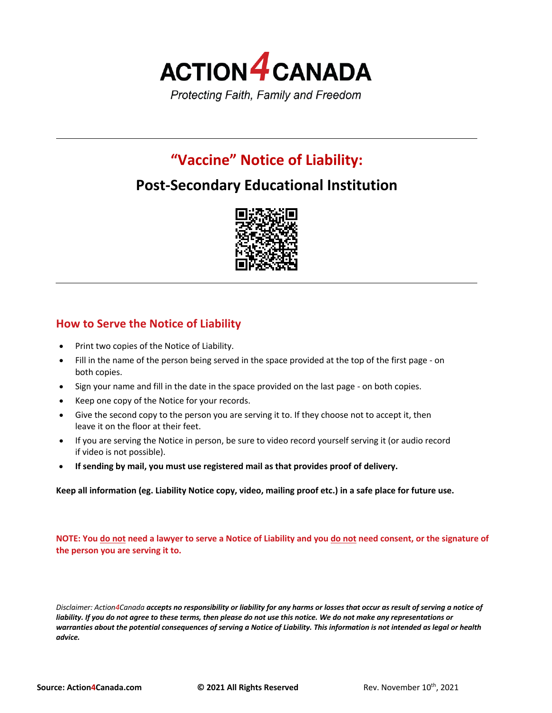

# **"Vaccine" Notice of Liability:**

## **Post-Secondary Educational Institution**



### **How to Serve the Notice of Liability**

- Print two copies of the Notice of Liability.
- Fill in the name of the person being served in the space provided at the top of the first page on both copies.
- Sign your name and fill in the date in the space provided on the last page on both copies.
- Keep one copy of the Notice for your records.
- Give the second copy to the person you are serving it to. If they choose not to accept it, then leave it on the floor at their feet.
- If you are serving the Notice in person, be sure to video record yourself serving it (or audio record if video is not possible).
- **If sending by mail, you must use registered mail as that provides proof of delivery.**

**Keep all information (eg. Liability Notice copy, video, mailing proof etc.) in a safe place for future use.**

**NOTE: You do not need a lawyer to serve a Notice of Liability and you do not need consent, or the signature of the person you are serving it to.**

*Disclaimer: Action4Canada accepts no responsibility or liability for any harms or losses that occur as result of serving a notice of liability. If you do not agree to these terms, then please do not use this notice. We do not make any representations or warranties about the potential consequences of serving a Notice of Liability. This information is not intended as legal or health advice.*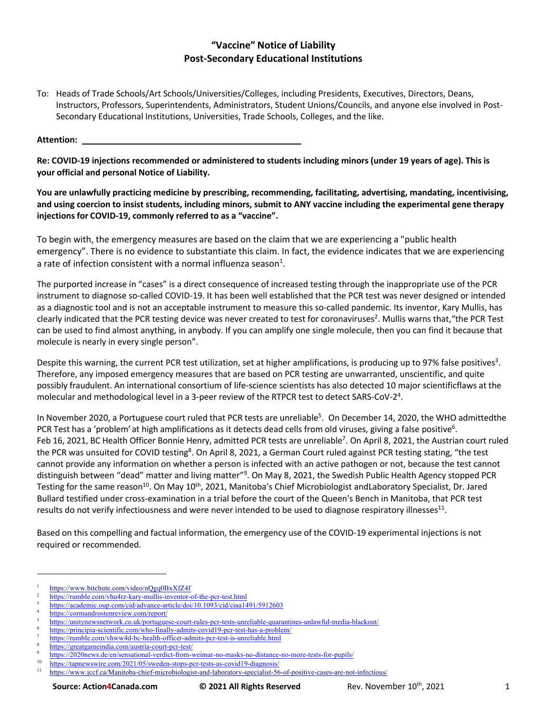### **"Vaccine" Notice of Liability Post-Secondary Educational Institutions**

To: Heads of Trade Schools/Art Schools/Universities/Colleges, including Presidents, Executives, Directors, Deans, Instructors, Professors, Superintendents, Administrators, Student Unions/Councils, and anyone else involved in Post-Secondary Educational Institutions, Universities, Trade Schools, Colleges, and the like.

**Attention:** 

**Re: COVID-19 injections recommended or administered to students including minors (under 19 years of age). This is your official and personal Notice of Liability.**

**You are unlawfully practicing medicine by prescribing, recommending, facilitating, advertising, mandating, incentivising, and using coercion to insist students, including minors, submit to ANY vaccine including the experimental gene therapy injections for COVID-19, commonly referred to as a "vaccine".**

To begin with, the emergency measures are based on the claim that we are experiencing a "public health emergency". There is no evidence to substantiate this claim. In fact, the evidence indicates that we are experiencing a rate of infection consistent with a normal influenza season<sup>1</sup>.

The purported increase in "cases" is a direct consequence of increased testing through the inappropriate use of the PCR instrument to diagnose so-called COVID-19. It has been well established that the PCR test was never designed or intended as a diagnostic tool and is not an acceptable instrument to measure this so-called pandemic. Its inventor, Kary Mullis, has clearly indicated that the PCR testing device was never created to test for coronaviruses<sup>2</sup>. Mullis warns that, "the PCR Test can be used to find almost anything, in anybody. If you can amplify one single molecule, then you can find it because that molecule is nearly in every single person".

Despite this warning, the current PCR test utilization, set at higher amplifications, is producing up to 97% false positives<sup>3</sup>. Therefore, any imposed emergency measures that are based on PCR testing are unwarranted, unscientific, and quite possibly fraudulent. An international consortium of life-science scientists has also detected 10 major scientificflaws at the molecular and methodological level in a 3-peer review of the RTPCR test to detect SARS-CoV-2<sup>4</sup>.

In November 2020, a Portuguese court ruled that PCR tests are unreliable<sup>5</sup>. On December 14, 2020, the WHO admittedthe PCR Test has a 'problem' at high amplifications as it detects dead cells from old viruses, giving a false positive<sup>6</sup>. Feb 16, 2021, BC Health Officer Bonnie Henry, admitted PCR tests are unreliable<sup>7</sup>. On April 8, 2021, the Austrian court ruled the PCR was unsuited for COVID testing<sup>8</sup>. On April 8, 2021, a German Court ruled against PCR testing stating, "the test cannot provide any information on whether a person is infected with an active pathogen or not, because the test cannot distinguish between "dead" matter and living matter"<sup>9</sup>. On May 8, 2021, the Swedish Public Health Agency stopped PCR Testing for the same reason<sup>10</sup>. On May 10<sup>th</sup>, 2021, Manitoba's Chief Microbiologist andLaboratory Specialist, Dr. Jared Bullard testified under cross-examination in a trial before the court of the Queen's Bench in Manitoba, that PCR test results do not verify infectiousness and were never intended to be used to diagnose respiratory illnesses $11$ .

Based on this compelling and factual information, the emergency use of the COVID-19 experimental injections is not required or recommended.

https://www.bitchute.com/video/nQgq0BxXfZ4f

<sup>&</sup>lt;sup>2</sup> https://rumble.com/vhu4rz-kary-mullis-inventor-of-the-pcr-test.html

<sup>3</sup> https://academic.oup.com/cid/advance-article/doi/10.1093/cid/ciaa1491/5912603

<sup>4</sup> https://cormandrostenreview.com/report/

<sup>5</sup> https://unitynewsnetwork.co.uk/portuguese-court-rules-pcr-tests-unreliable-quarantines-unlawful-media-blackout/

<sup>6</sup> https://principia-scientific.com/who-finally-admits-covid19-pcr-test-has-a-problem/

https://rumble.com/vhww4d-bc-health-officer-admits-pcr-test-is-unreliable.html

https://greatgameindia.com/austria-court-pcr-test/

<sup>9</sup> https://2020news.de/en/sensational-verdict-from-weimar-no-masks-no-distance-no-more-tests-for-pupils/<br>10 https://tegranomailes.com/2021/05/graphe stage are tests as a smill 0, discoveried

 $\frac{10}{11}$  https://tapnewswire.com/2021/05/sweden-stops-pcr-tests-as-covid19-diagnosis/<br> $\frac{11}{11}$  https://www.josf.co/Monitobe.object\_migrabiologist.cod\_loboratory\_epocialist\_56

https://www.jccf.ca/Manitoba-chief-microbiologist-and-laboratory-specialist-56-of-positive-cases-are-not-infectious/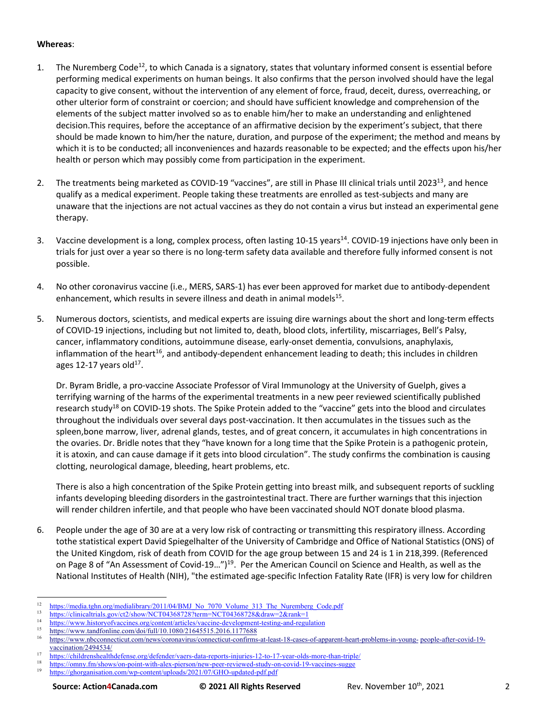#### **Whereas**:

- 1. The Nuremberg Code<sup>12</sup>, to which Canada is a signatory, states that voluntary informed consent is essential before performing medical experiments on human beings. It also confirms that the person involved should have the legal capacity to give consent, without the intervention of any element of force, fraud, deceit, duress, overreaching, or other ulterior form of constraint or coercion; and should have sufficient knowledge and comprehension of the elements of the subject matter involved so as to enable him/her to make an understanding and enlightened decision.This requires, before the acceptance of an affirmative decision by the experiment's subject, that there should be made known to him/her the nature, duration, and purpose of the experiment; the method and means by which it is to be conducted; all inconveniences and hazards reasonable to be expected; and the effects upon his/her health or person which may possibly come from participation in the experiment.
- 2. The treatments being marketed as COVID-19 "vaccines", are still in Phase III clinical trials until 2023<sup>13</sup>, and hence qualify as a medical experiment. People taking these treatments are enrolled as test-subjects and many are unaware that the injections are not actual vaccines as they do not contain a virus but instead an experimental gene therapy.
- 3. Vaccine development is a long, complex process, often lasting 10-15 years<sup>14</sup>. COVID-19 injections have only been in trials for just over a year so there is no long-term safety data available and therefore fully informed consent is not possible.
- 4. No other coronavirus vaccine (i.e., MERS, SARS-1) has ever been approved for market due to antibody-dependent enhancement, which results in severe illness and death in animal models<sup>15</sup>.
- 5. Numerous doctors, scientists, and medical experts are issuing dire warnings about the short and long-term effects of COVID-19 injections, including but not limited to, death, blood clots, infertility, miscarriages, Bell's Palsy, cancer, inflammatory conditions, autoimmune disease, early-onset dementia, convulsions, anaphylaxis, inflammation of the heart<sup>16</sup>, and antibody-dependent enhancement leading to death; this includes in children ages 12-17 years old $17$ .

Dr. Byram Bridle, a pro-vaccine Associate Professor of Viral Immunology at the University of Guelph, gives a terrifying warning of the harms of the experimental treatments in a new peer reviewed scientifically published research study18 on COVID-19 shots. The Spike Protein added to the "vaccine" gets into the blood and circulates throughout the individuals over several days post-vaccination. It then accumulates in the tissues such as the spleen,bone marrow, liver, adrenal glands, testes, and of great concern, it accumulates in high concentrations in the ovaries. Dr. Bridle notes that they "have known for a long time that the Spike Protein is a pathogenic protein, it is atoxin, and can cause damage if it gets into blood circulation". The study confirms the combination is causing clotting, neurological damage, bleeding, heart problems, etc.

There is also a high concentration of the Spike Protein getting into breast milk, and subsequent reports of suckling infants developing bleeding disorders in the gastrointestinal tract. There are further warnings that this injection will render children infertile, and that people who have been vaccinated should NOT donate blood plasma.

6. People under the age of 30 are at a very low risk of contracting or transmitting this respiratory illness. According tothe statistical expert David Spiegelhalter of the University of Cambridge and Office of National Statistics (ONS) of the United Kingdom, risk of death from COVID for the age group between 15 and 24 is 1 in 218,399. (Referenced on Page 8 of "An Assessment of Covid-19...")<sup>19</sup>. Per the American Council on Science and Health, as well as the National Institutes of Health (NIH), "the estimated age-specific Infection Fatality Rate (IFR) is very low for children

<sup>15</sup> https://www.tandfonline.com/doi/full/10.1080/21645515.2016.1177688

<sup>&</sup>lt;sup>12</sup> https://<u>media.tghn.org/medialibrary/2011/04/BMJ\_No\_7070\_Volume\_313\_The\_Nuremberg\_Code.pdf<br>13 https://thispate.ide.pov/42/share00CT042697992thrane0CT042697998 https://englebrate.htm</u>

 $13$  https://clinicaltrials.gov/ct2/show/NCT04368728?term=NCT04368728&draw=2&rank=1

<sup>&</sup>lt;sup>14</sup> https://www.historyofvaccines.org/content/articles/vaccine-development-testing-and-regulation<br><sup>15</sup> https://www.historyofvaccines.org/content/articles/vaccine-development-testing-and-regulation

<sup>16</sup> https://www.nbcconnecticut.com/news/coronavirus/connecticut-confirms-at-least-18-cases-of-apparent-heart-problems-in-young- people-after-covid-19 vaccination/2494534/

<sup>&</sup>lt;sup>17</sup> https://childrenshealthdefense.org/defender/vaers-data-reports-injuries-12-to-17-year-olds-more-than-triple/

 $\frac{18}{19}$  https://omny.fm/shows/on-point-with-alex-pierson/new-peer-reviewed-study-on-covid-19-vaccines-sugge<br> $\frac{19}{19}$  https://chargenization.com/wn.exptor/unloads/2021/07/GHQ undeted ref. ref. https://ghorganisation.com/wp-content/uploads/2021/07/GHO-updated-pdf.pdf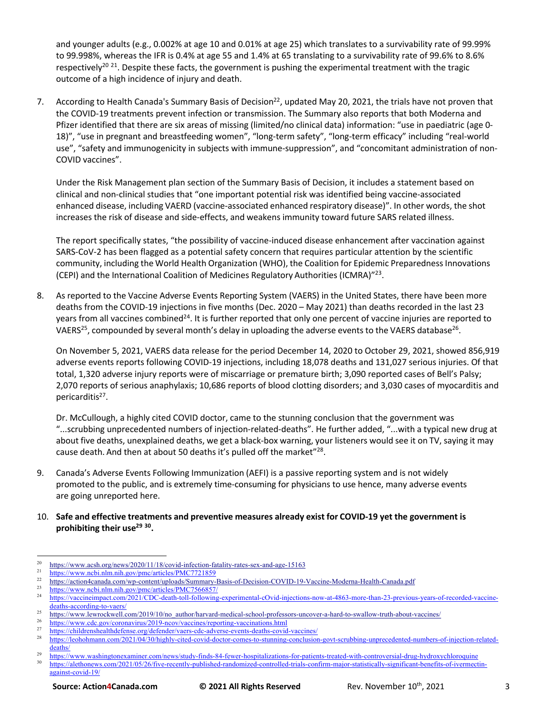and younger adults (e.g., 0.002% at age 10 and 0.01% at age 25) which translates to a survivability rate of 99.99% to 99.998%, whereas the IFR is 0.4% at age 55 and 1.4% at 65 translating to a survivability rate of 99.6% to 8.6% respectively<sup>20 21</sup>. Despite these facts, the government is pushing the experimental treatment with the tragic outcome of a high incidence of injury and death.

7. According to Health Canada's Summary Basis of Decision<sup>22</sup>, updated May 20, 2021, the trials have not proven that the COVID-19 treatments prevent infection or transmission. The Summary also reports that both Moderna and Pfizer identified that there are six areas of missing (limited/no clinical data) information: "use in paediatric (age 0- 18)", "use in pregnant and breastfeeding women", "long-term safety", "long-term efficacy" including "real-world use", "safety and immunogenicity in subjects with immune-suppression", and "concomitant administration of non-COVID vaccines".

Under the Risk Management plan section of the Summary Basis of Decision, it includes a statement based on clinical and non-clinical studies that "one important potential risk was identified being vaccine-associated enhanced disease, including VAERD (vaccine-associated enhanced respiratory disease)". In other words, the shot increases the risk of disease and side-effects, and weakens immunity toward future SARS related illness.

The report specifically states, "the possibility of vaccine-induced disease enhancement after vaccination against SARS-CoV-2 has been flagged as a potential safety concern that requires particular attention by the scientific community, including the World Health Organization (WHO), the Coalition for Epidemic Preparedness Innovations (CEPI) and the International Coalition of Medicines Regulatory Authorities (ICMRA)"23.

8. As reported to the Vaccine Adverse Events Reporting System (VAERS) in the United States, there have been more deaths from the COVID-19 injections in five months (Dec. 2020 – May 2021) than deaths recorded in the last 23 years from all vaccines combined<sup>24</sup>. It is further reported that only one percent of vaccine injuries are reported to VAERS<sup>25</sup>, compounded by several month's delay in uploading the adverse events to the VAERS database<sup>26</sup>.

On November 5, 2021, VAERS data release for the period December 14, 2020 to October 29, 2021, showed 856,919 adverse events reports following COVID-19 injections, including 18,078 deaths and 131,027 serious injuries. Of that total, 1,320 adverse injury reports were of miscarriage or premature birth; 3,090 reported cases of Bell's Palsy; 2,070 reports of serious anaphylaxis; 10,686 reports of blood clotting disorders; and 3,030 cases of myocarditis and pericarditis<sup>27</sup>.

Dr. McCullough, a highly cited COVID doctor, came to the stunning conclusion that the government was "...scrubbing unprecedented numbers of injection-related-deaths". He further added, "...with a typical new drug at about five deaths, unexplained deaths, we get a black-box warning, your listeners would see it on TV, saying it may cause death. And then at about 50 deaths it's pulled off the market"<sup>28</sup>.

- 9. Canada's Adverse Events Following Immunization (AEFI) is a passive reporting system and is not widely promoted to the public, and is extremely time-consuming for physicians to use hence, many adverse events are going unreported here.
- 10. **Safe and effective treatments and preventive measures already exist for COVID-19 yet the government is prohibiting their use29 30.**

<sup>&</sup>lt;sup>20</sup> https://www.acsh.org/news/2020/11/18/covid-infection-fatality-rates-sex-and-age-15163<br> $\frac{1}{2}$ 

<sup>&</sup>lt;sup>21</sup> https://www.ncbi.nlm.nih.gov/pmc/articles/PMC7721859<br><sup>22</sup> https://action.deepede.com/um\_content/unloods/Summeru

<sup>&</sup>lt;sup>22</sup> https://action4canada.com/wp-content/uploads/Summary-Basis-of-Decision-COVID-19-Vaccine-Moderna-Health-Canada.pdf<br><sup>23</sup> https://action4canada.com/wp-content/uploads/Summary-Basis-of-Decision-COVID-19-Vaccine-Moderna-He

<sup>&</sup>lt;sup>23</sup> https://www.ncbi.nlm.nih.gov/pmc/articles/PMC7566857/<br><sup>24</sup> https://waccineimpact.com/2021/CDC death toll following

<sup>24</sup> https://vaccineimpact.com/2021/CDC-death-toll-following-experimental-cOvid-injections-now-at-4863-more-than-23-previous-years-of-recorded-vaccinedeaths-according-to-vaers/

<sup>&</sup>lt;sup>25</sup> https://www.lewrockwell.com/2019/10/no\_author/harvard-medical-school-professors-uncover-a-hard-to-swallow-truth-about-vaccines/<br><sup>26</sup> https://www.lewrockwell.com/2019/10/no-author/harvard-medical-school-professors-unco

 $\frac{26}{27}$  https://www.cdc.gov/coronavirus/2019-ncov/vaccines/reporting-vaccinations.html<br> $\frac{27}{27}$  https://dildengale.gld.differences/differential/differences/differential/differences/differential/differential/differe

<sup>&</sup>lt;sup>27</sup> https://childrenshealthdefense.org/defender/vaers-cdc-adverse-events-deaths-covid-vaccines/<br><sup>28</sup> https://cababaseme.org/2021/04/204iables.its-descriptions are to struggles appelation

<sup>28</sup> https://leohohmann.com/2021/04/30/highly-cited-covid-doctor-comes-to-stunning-conclusion-govt-scrubbing-unprecedented-numbers-of-injection-relateddeaths/

<sup>&</sup>lt;sup>29</sup> https://www.washingtonexaminer.com/news/study-finds-84-fewer-hospitalizations-for-patients-treated-with-controversial-drug-hydroxychloroquine<br><sup>29</sup> https://www.washingtonexaminer.com/news/study-finds-84-fewer-hospitali <sup>30</sup> https://alethonews.com/2021/05/26/five-recently-published-randomized-controlled-trials-confirm-major-statistically-significant-benefits-of-ivermectinagainst-covid-19/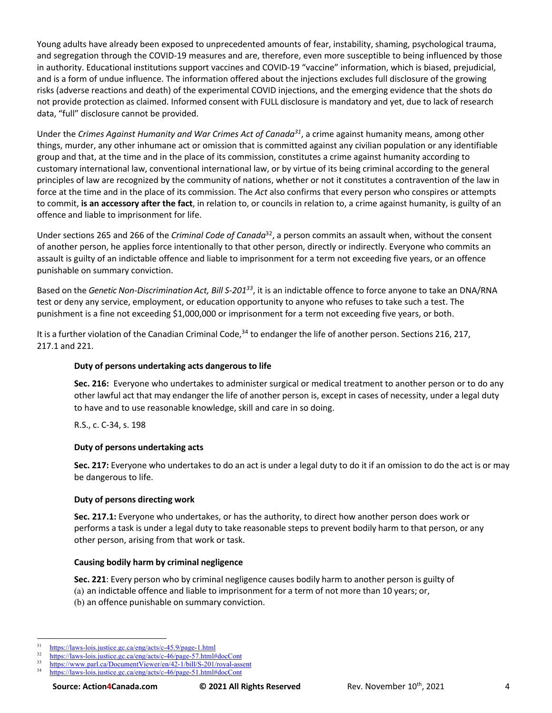Young adults have already been exposed to unprecedented amounts of fear, instability, shaming, psychological trauma, and segregation through the COVID-19 measures and are, therefore, even more susceptible to being influenced by those in authority. Educational institutions support vaccines and COVID-19 "vaccine" information, which is biased, prejudicial, and is a form of undue influence. The information offered about the injections excludes full disclosure of the growing risks (adverse reactions and death) of the experimental COVID injections, and the emerging evidence that the shots do not provide protection as claimed. Informed consent with FULL disclosure is mandatory and yet, due to lack of research data, "full" disclosure cannot be provided.

Under the *Crimes Against Humanity and War Crimes Act of Canada31*, a crime against humanity means, among other things, murder, any other inhumane act or omission that is committed against any civilian population or any identifiable group and that, at the time and in the place of its commission, constitutes a crime against humanity according to customary international law, conventional international law, or by virtue of its being criminal according to the general principles of law are recognized by the community of nations, whether or not it constitutes a contravention of the law in force at the time and in the place of its commission. The *Act* also confirms that every person who conspires or attempts to commit, **is an accessory after the fact**, in relation to, or councils in relation to, a crime against humanity, is guilty of an offence and liable to imprisonment for life.

Under sections 265 and 266 of the *Criminal Code of Canada*32, a person commits an assault when, without the consent of another person, he applies force intentionally to that other person, directly or indirectly. Everyone who commits an assault is guilty of an indictable offence and liable to imprisonment for a term not exceeding five years, or an offence punishable on summary conviction.

Based on the *Genetic Non-Discrimination Act, Bill S-20133*, it is an indictable offence to force anyone to take an DNA/RNA test or deny any service, employment, or education opportunity to anyone who refuses to take such a test. The punishment is a fine not exceeding \$1,000,000 or imprisonment for a term not exceeding five years, or both.

It is a further violation of the Canadian Criminal Code, $34$  to endanger the life of another person. Sections 216, 217, 217.1 and 221.

#### **Duty of persons undertaking acts dangerous to life**

**Sec. 216:** Everyone who undertakes to administer surgical or medical treatment to another person or to do any other lawful act that may endanger the life of another person is, except in cases of necessity, under a legal duty to have and to use reasonable knowledge, skill and care in so doing.

R.S., c. C-34, s. 198

#### **Duty of persons undertaking acts**

**Sec. 217:** Everyone who undertakes to do an act is under a legal duty to do it if an omission to do the act is or may be dangerous to life.

#### **Duty of persons directing work**

**Sec. 217.1:** Everyone who undertakes, or has the authority, to direct how another person does work or performs a task is under a legal duty to take reasonable steps to prevent bodily harm to that person, or any other person, arising from that work or task.

#### **Causing bodily harm by criminal negligence**

**Sec. 221**: Every person who by criminal negligence causes bodily harm to another person is guilty of (a) an indictable offence and liable to imprisonment for a term of not more than 10 years; or, (b) an offence punishable on summary conviction.

 $\frac{31}{2}$  https://laws-lois.justice.gc.ca/eng/acts/c-45.9/page-1.html<br> $\frac{32}{2}$  https://laws-lois.justice.gc.ca/eng/acts/s-46/page-57.html

 $\frac{32}{\text{https://laws-lois.justice.gc.ca/eng/acts/c-46/page-57.html\#docCont}}$ <br> $\frac{33}{\text{https://www.varl.ac/Descymert/licward/en/42.1/k:11/Sc-201/excel-erg}}$ 

 $\frac{33}{14}$  https://www.parl.ca/DocumentViewer/en/42-1/bill/S-201/royal-assent

https://laws-lois.justice.gc.ca/eng/acts/c-46/page-51.html#docCont